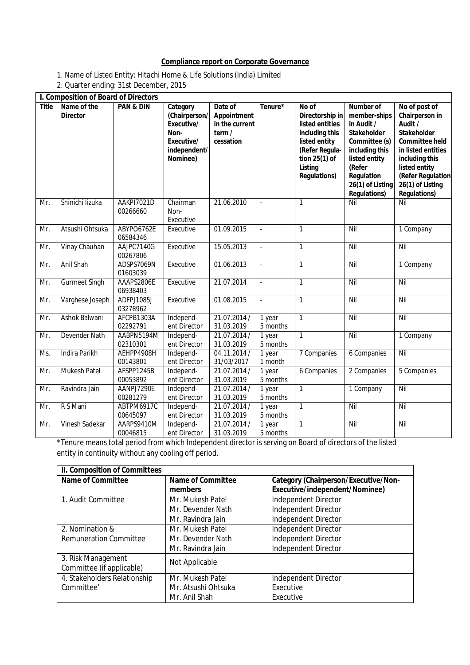## **Compliance report on Corporate Governance**

- 1. Name of Listed Entity: Hitachi Home & Life Solutions (India) Limited
- 2. Quarter ending: 31st December, 2015

|              | I. Composition of Board of Directors |                        |                                                                                           |                                                                |                    |                                                                                                                                                     |                                                                                                                                                                                             |                                                                                                                                                                                                                    |
|--------------|--------------------------------------|------------------------|-------------------------------------------------------------------------------------------|----------------------------------------------------------------|--------------------|-----------------------------------------------------------------------------------------------------------------------------------------------------|---------------------------------------------------------------------------------------------------------------------------------------------------------------------------------------------|--------------------------------------------------------------------------------------------------------------------------------------------------------------------------------------------------------------------|
| <b>Title</b> | Name of the<br><b>Director</b>       | <b>PAN &amp; DIN</b>   | Category<br>(Chairperson/<br>Executive/<br>Non-<br>Executive/<br>independent/<br>Nominee) | Date of<br>Appointment<br>in the current<br>term/<br>cessation | Tenure*            | No of<br>Directorship in<br>listed entities<br>including this<br>listed entity<br>(Refer Regula-<br>tion 25(1) of<br>Listing<br><b>Regulations)</b> | <b>Number of</b><br>member-ships<br>in Audit /<br><b>Stakeholder</b><br>Committee (s)<br>including this<br>listed entity<br>(Refer<br>Regulation<br>26(1) of Listing<br><b>Regulations)</b> | No of post of<br>Chairperson in<br>Audit /<br><b>Stakeholder</b><br><b>Committee held</b><br>in listed entities<br>including this<br>listed entity<br>(Refer Regulation<br>26(1) of Listing<br><b>Regulations)</b> |
| Mr.          | Shinichi lizuka                      | AAKPI7021D<br>00266660 | Chairman<br>Non-<br>Executive                                                             | 21.06.2010                                                     |                    | $\mathbf{1}$                                                                                                                                        | Nil                                                                                                                                                                                         | Nil                                                                                                                                                                                                                |
| Mr.          | Atsushi Ohtsuka                      | ABYPO6762E<br>06584346 | Executive                                                                                 | 01.09.2015                                                     | ä,                 | $\mathbf{1}$                                                                                                                                        | Nil                                                                                                                                                                                         | 1 Company                                                                                                                                                                                                          |
| Mr.          | Vinay Chauhan                        | AAJPC7140G<br>00267806 | Executive                                                                                 | 15.05.2013                                                     | L.                 | $\mathbf{1}$                                                                                                                                        | Nil                                                                                                                                                                                         | Nil                                                                                                                                                                                                                |
| Mr.          | Anil Shah                            | ADSPS7069N<br>01603039 | Executive                                                                                 | 01.06.2013                                                     | L.                 | $\mathbf{1}$                                                                                                                                        | Nil                                                                                                                                                                                         | 1 Company                                                                                                                                                                                                          |
| Mr.          | <b>Gurmeet Singh</b>                 | AAAPS2806E<br>06938403 | Executive                                                                                 | 21.07.2014                                                     | L.                 | $\mathbf{1}$                                                                                                                                        | Nil                                                                                                                                                                                         | Nil                                                                                                                                                                                                                |
| Mr.          | Varghese Joseph                      | ADFPJ1085J<br>03278962 | Executive                                                                                 | 01.08.2015                                                     |                    | $\mathbf{1}$                                                                                                                                        | Nil                                                                                                                                                                                         | Nil                                                                                                                                                                                                                |
| Mr.          | Ashok Balwani                        | AFCPB1303A<br>02292791 | Independ-<br>ent Director                                                                 | 21.07.2014/<br>31.03.2019                                      | 1 year<br>5 months | $\mathbf{1}$                                                                                                                                        | Nil                                                                                                                                                                                         | Nil                                                                                                                                                                                                                |
| Mr.          | <b>Devender Nath</b>                 | AABPN5194M<br>02310301 | Independ-<br>ent Director                                                                 | 21.07.2014/<br>31.03.2019                                      | 1 year<br>5 months | $\mathbf{1}$                                                                                                                                        | Nil                                                                                                                                                                                         | 1 Company                                                                                                                                                                                                          |
| Ms.          | <b>Indira Parikh</b>                 | AEHPP4908H<br>00143801 | Independ-<br>ent Director                                                                 | 04.11.2014/<br>31/03/2017                                      | 1 year<br>1 month  | 7 Companies                                                                                                                                         | 6 Companies                                                                                                                                                                                 | Nil                                                                                                                                                                                                                |
| Mr.          | <b>Mukesh Patel</b>                  | AFSPP1245B<br>00053892 | Independ-<br>ent Director                                                                 | 21.07.2014 /<br>31.03.2019                                     | 1 year<br>5 months | 6 Companies                                                                                                                                         | 2 Companies                                                                                                                                                                                 | 5 Companies                                                                                                                                                                                                        |
| Mr.          | Ravindra Jain                        | AANPJ7290E<br>00281279 | Independ-<br>ent Director                                                                 | 21.07.2014 /<br>31.03.2019                                     | 1 year<br>5 months | $\mathbf{1}$                                                                                                                                        | 1 Company                                                                                                                                                                                   | Nil                                                                                                                                                                                                                |
| Mr.          | R S Mani                             | ABTPM6917C<br>00645097 | Independ-<br>ent Director                                                                 | 21.07.2014 /<br>31.03.2019                                     | 1 year<br>5 months | $\mathbf{1}$                                                                                                                                        | Nil                                                                                                                                                                                         | Nil                                                                                                                                                                                                                |
| Mr.          | Vinesh Sadekar                       | AARPS9410M<br>00046815 | Independ-<br>ent Director                                                                 | 21.07.2014 /<br>31.03.2019                                     | 1 year<br>5 months | $\mathbf{1}$                                                                                                                                        | Nil                                                                                                                                                                                         | Nil                                                                                                                                                                                                                |

\*Tenure means total period from which Independent director is serving on Board of directors of the listed entity in continuity without any cooling off period.

| II. Composition of Committees |                          |                                             |  |  |
|-------------------------------|--------------------------|---------------------------------------------|--|--|
| <b>Name of Committee</b>      | <b>Name of Committee</b> | <b>Category (Chairperson/Executive/Non-</b> |  |  |
|                               | members                  | Executive/independent/Nominee)              |  |  |
| 1. Audit Committee            | Mr. Mukesh Patel         | Independent Director                        |  |  |
|                               | Mr. Devender Nath        | Independent Director                        |  |  |
|                               | Mr. Ravindra Jain        | Independent Director                        |  |  |
| 2. Nomination &               | Mr. Mukesh Patel         | Independent Director                        |  |  |
| <b>Remuneration Committee</b> | Mr. Devender Nath        | Independent Director                        |  |  |
|                               | Mr. Ravindra Jain        | Independent Director                        |  |  |
| 3. Risk Management            | Not Applicable           |                                             |  |  |
| Committee (if applicable)     |                          |                                             |  |  |
| 4. Stakeholders Relationship  | Mr. Mukesh Patel         | Independent Director                        |  |  |
| Committee'                    | Mr. Atsushi Ohtsuka      | Executive                                   |  |  |
|                               | Mr. Anil Shah            | Executive                                   |  |  |